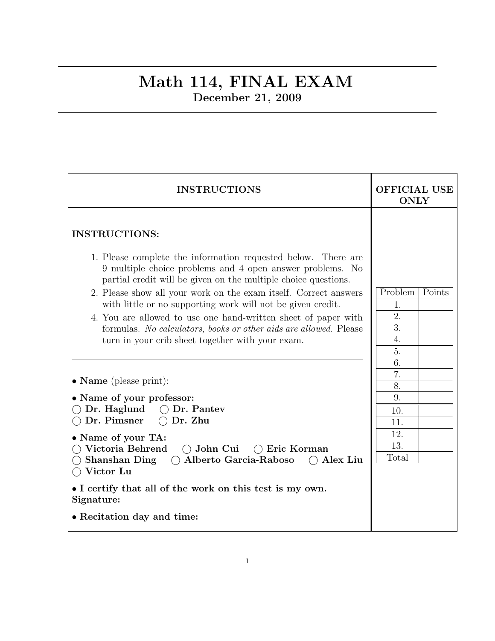## Math 114, FINAL EXAM December 21, 2009

| <b>INSTRUCTIONS</b>                                                                                                                                                                                                                                                                                                                                                                                                                                                                                                                                | <b>OFFICIAL USE</b><br><b>ONLY</b>                            |
|----------------------------------------------------------------------------------------------------------------------------------------------------------------------------------------------------------------------------------------------------------------------------------------------------------------------------------------------------------------------------------------------------------------------------------------------------------------------------------------------------------------------------------------------------|---------------------------------------------------------------|
| <b>INSTRUCTIONS:</b><br>1. Please complete the information requested below. There are<br>9 multiple choice problems and 4 open answer problems. No<br>partial credit will be given on the multiple choice questions.<br>2. Please show all your work on the exam itself. Correct answers<br>with little or no supporting work will not be given credit.<br>4. You are allowed to use one hand-written sheet of paper with<br>formulas. No calculators, books or other aids are allowed. Please<br>turn in your crib sheet together with your exam. | Problem<br>Points<br>1.<br>$\overline{2}$ .<br>3.<br>4.<br>5. |
| • Name (please print):<br>• Name of your professor:<br>$\bigcirc$ Dr. Haglund $\bigcirc$ Dr. Pantev<br>$\bigcap$ Dr. Pimsner<br>$\bigcap$ Dr. Zhu<br>• Name of your TA:<br>$\bigcirc$ Victoria Behrend<br>$\bigcirc$ John Cui<br>$\bigcap$ Eric Korman<br><b>Shanshan Ding</b><br>○ Alberto Garcia-Raboso<br>$\bigcirc$ Alex Liu<br>Victor Lu<br>• I certify that all of the work on this test is my own.<br>Signature:<br>• Recitation day and time:                                                                                              | 6.<br>7.<br>8.<br>9.<br>10.<br>11.<br>12.<br>13.<br>Total     |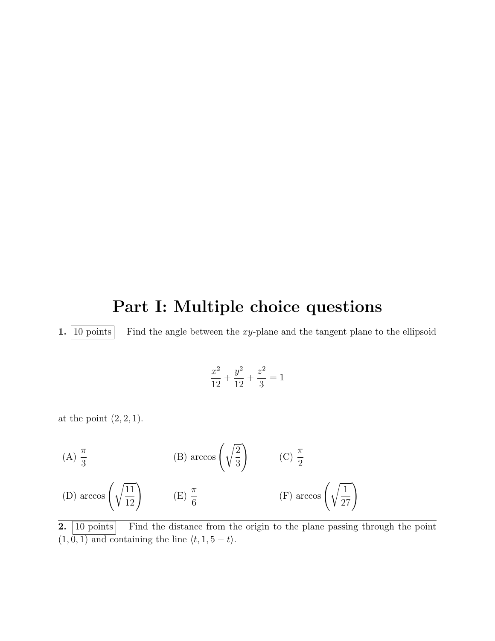## Part I: Multiple choice questions

1.  $\boxed{10 \text{ points}}$  Find the angle between the xy-plane and the tangent plane to the ellipsoid

$$
\frac{x^2}{12} + \frac{y^2}{12} + \frac{z^2}{3} = 1
$$

at the point  $(2, 2, 1)$ .

(A) 
$$
\frac{\pi}{3}
$$
 (B)  $\arccos\left(\sqrt{\frac{2}{3}}\right)$  (C)  $\frac{\pi}{2}$   
(D)  $\arccos\left(\sqrt{\frac{11}{12}}\right)$  (E)  $\frac{\pi}{6}$  (F)  $\arccos\left(\sqrt{\frac{1}{27}}\right)$ 

2. 10 points Find the distance from the origin to the plane passing through the point  $(1, 0, 1)$  and containing the line  $\langle t, 1, 5 - t \rangle$ .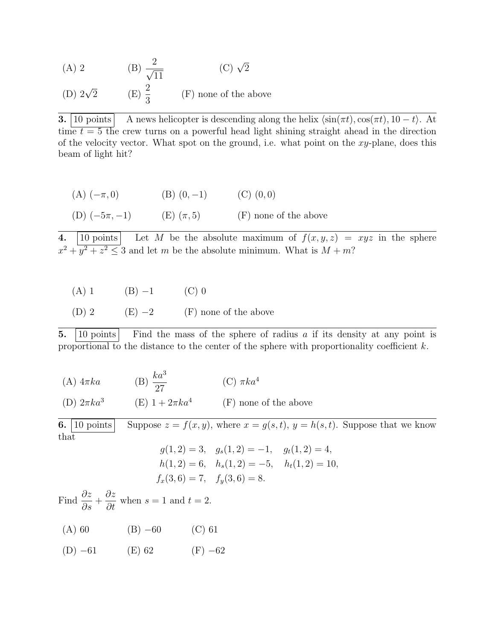(A) 2 (B) 
$$
\frac{2}{\sqrt{11}}
$$
 (C)  $\sqrt{2}$ 

(D)  $2\sqrt{2}$  $\overline{2}$  (E)  $\frac{2}{3}$ 3 (F) none of the above

**3.** | 10 points | A news helicopter is descending along the helix  $\langle \sin(\pi t), \cos(\pi t), 10 - t \rangle$ . At time  $t = 5$  the crew turns on a powerful head light shining straight ahead in the direction of the velocity vector. What spot on the ground, i.e. what point on the  $xy$ -plane, does this beam of light hit?

| $(A)$ $(-\pi, 0)$ | $(B)$ $(0,-1)$ | $(C)$ $(0,0)$         |
|-------------------|----------------|-----------------------|
| (D) $(-5\pi, -1)$ | (E) $(\pi, 5)$ | (F) none of the above |

4. 10 points Let M be the absolute maximum of  $f(x, y, z) = xyz$  in the sphere  $x^2 + y^2 + z^2 \leq 3$  and let m be the absolute minimum. What is  $M + m$ ?

(A) 1 (B)  $-1$  (C) 0

(D) 2 (E)  $-2$  (F) none of the above

**5.** | 10 points | Find the mass of the sphere of radius  $\alpha$  if its density at any point is proportional to the distance to the center of the sphere with proportionality coefficient k.

(A)  $4\pi ka$  (B)  $\frac{ka^3}{27}$ 27 (C)  $\pi ka^4$ (D)  $2\pi ka^3$ (E)  $1 + 2\pi ka^4$  (F) none of the above

**6.** [10 points] Suppose  $z = f(x, y)$ , where  $x = g(s, t)$ ,  $y = h(s, t)$ . Suppose that we know that  $g(1, 9) = 1$ 

$$
g(1, 2) = 3
$$
,  $g_s(1, 2) = -1$ ,  $g_t(1, 2) = 4$ ,  
\n $h(1, 2) = 6$ ,  $h_s(1, 2) = -5$ ,  $h_t(1, 2) = 10$ ,  
\n $f_x(3, 6) = 7$ ,  $f_y(3, 6) = 8$ .

Find  $\frac{\partial z}{\partial x}$  $rac{\partial z}{\partial s}$  + ∂z  $rac{\partial z}{\partial t}$  when  $s = 1$  and  $t = 2$ .

- (A) 60 (B)  $-60$  (C) 61
- (D)  $-61$  (E) 62 (F)  $-62$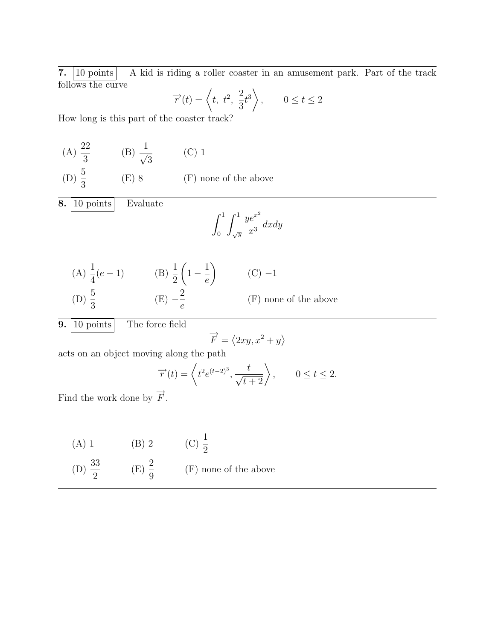7. 10 points A kid is riding a roller coaster in an amusement park. Part of the track follows the curve

$$
\overrightarrow{r}(t) = \left\langle t, t^2, \frac{2}{3}t^3 \right\rangle, \qquad 0 \le t \le 2
$$

How long is this part of the coaster track?

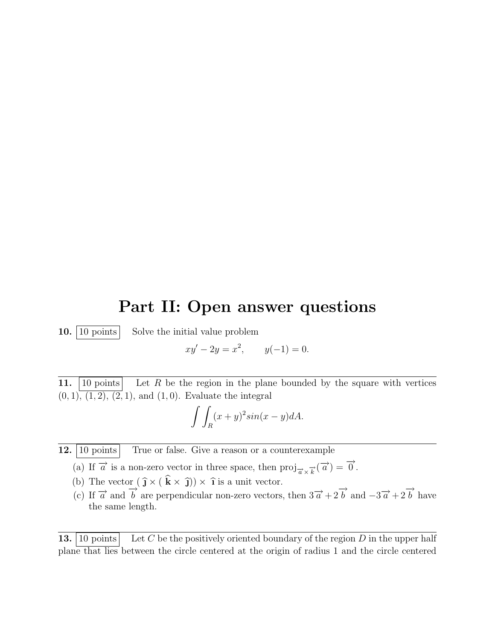## Part II: Open answer questions

10.  $\boxed{10 \text{ points}}$  Solve the initial value problem

$$
xy' - 2y = x^2, \qquad y(-1) = 0.
$$

11. |10 points | Let R be the region in the plane bounded by the square with vertices  $(0, 1), (1, 2), (2, 1),$  and  $(1, 0)$ . Evaluate the integral

$$
\int\int_R (x+y)^2 \sin(x-y) dA.
$$

- 12. 10 points True or false. Give a reason or a counterexample
	- (a) If  $\overrightarrow{a}$  is a non-zero vector in three space, then  $proj_{\overrightarrow{a} \times \overrightarrow{k}}(\overrightarrow{a}) = \overrightarrow{0}$ .
	- (b) The vector  $(\hat{\mathbf{j}} \times (\mathbf{k} \times \hat{\mathbf{j}})) \times \hat{\mathbf{i}}$  is a unit vector.
	- (c) If  $\vec{a}$  and  $\vec{b}$  are perpendicular non-zero vectors, then  $3\vec{a} + 2\vec{b}$  and  $-3\vec{a} + 2\vec{b}$  have the same length.

**13.** [10 points] Let C be the positively oriented boundary of the region D in the upper half plane that lies between the circle centered at the origin of radius 1 and the circle centered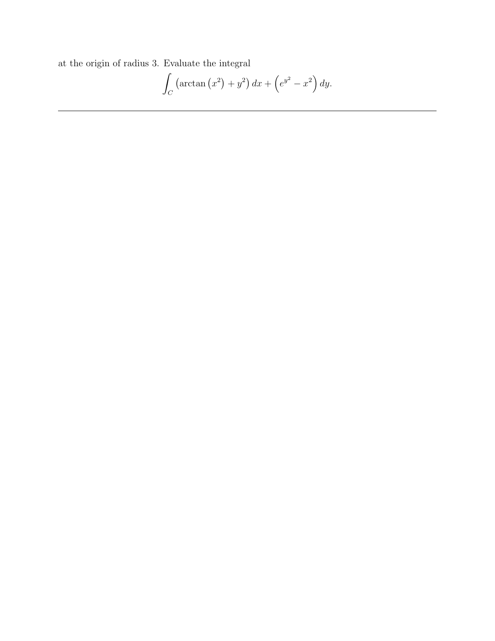at the origin of radius 3. Evaluate the integral

$$
\int_C \left(\arctan\left(x^2\right) + y^2\right) dx + \left(e^{y^2} - x^2\right) dy.
$$